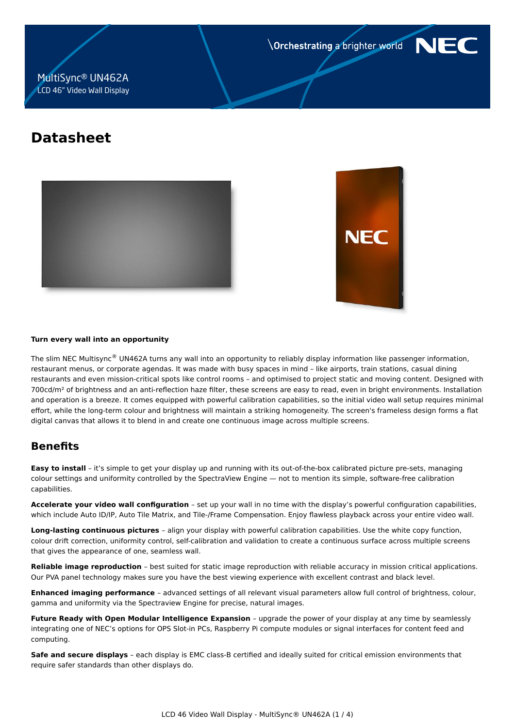**Orchestrating a brighter world** 



# MultiSync® UN462A LCD 46" Video Wall Display

# **Datasheet**





#### **Turn every wall into an opportunity**

The slim NEC Multisync® UN462A turns any wall into an opportunity to reliably display information like passenger information, restaurant menus, or corporate agendas. It was made with busy spaces in mind – like airports, train stations, casual dining restaurants and even mission-critical spots like control rooms – and optimised to project static and moving content. Designed with 700cd/m<sup>2</sup> of brightness and an anti-reflection haze filter, these screens are easy to read, even in bright environments. Installation and operation is a breeze. It comes equipped with powerful calibration capabilities, so the initial video wall setup requires minimal effort, while the long-term colour and brightness will maintain a striking homogeneity. The screen's frameless design forms a flat digital canvas that allows it to blend in and create one continuous image across multiple screens.

# **Benefits**

**Easy to install** – it's simple to get your display up and running with its out-of-the-box calibrated picture pre-sets, managing colour settings and uniformity controlled by the SpectraView Engine — not to mention its simple, software-free calibration capabilities.

**Accelerate your video wall configuration** – set up your wall in no time with the display's powerful configuration capabilities, which include Auto ID/IP, Auto Tile Matrix, and Tile-/Frame Compensation. Enjoy flawless playback across your entire video wall.

**Long-lasting continuous pictures** – align your display with powerful calibration capabilities. Use the white copy function, colour drift correction, uniformity control, self-calibration and validation to create a continuous surface across multiple screens that gives the appearance of one, seamless wall.

**Reliable image reproduction** – best suited for static image reproduction with reliable accuracy in mission critical applications. Our PVA panel technology makes sure you have the best viewing experience with excellent contrast and black level.

**Enhanced imaging performance** – advanced settings of all relevant visual parameters allow full control of brightness, colour, gamma and uniformity via the Spectraview Engine for precise, natural images.

**Future Ready with Open Modular Intelligence Expansion** – upgrade the power of your display at any time by seamlessly integrating one of NEC's options for OPS Slot-in PCs, Raspberry Pi compute modules or signal interfaces for content feed and computing.

**Safe and secure displays** – each display is EMC class-B certified and ideally suited for critical emission environments that require safer standards than other displays do.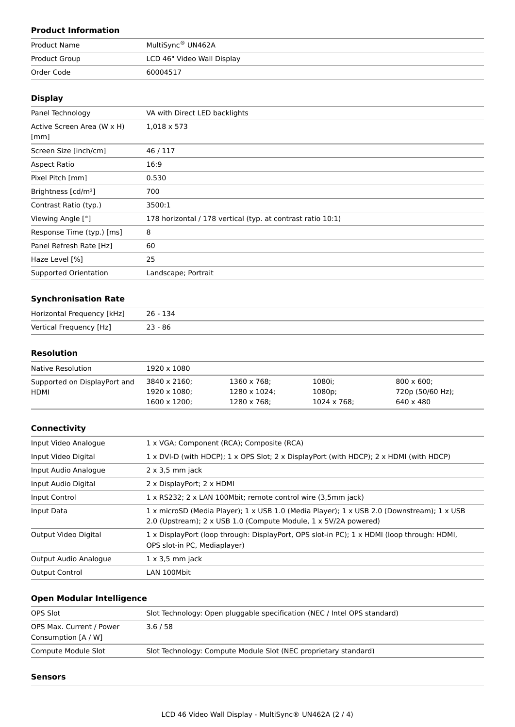# **Product Information**

| Product Name  | MultiSync® UN462A          |  |
|---------------|----------------------------|--|
| Product Group | LCD 46" Video Wall Display |  |
| Order Code    | 60004517                   |  |

#### **Display**

| Panel Technology                | VA with Direct LED backlights                               |  |
|---------------------------------|-------------------------------------------------------------|--|
| Active Screen Area (W x H)      | $1,018 \times 573$                                          |  |
| [mm]                            |                                                             |  |
| Screen Size [inch/cm]           | 46/117                                                      |  |
| Aspect Ratio                    | 16:9                                                        |  |
| Pixel Pitch [mm]                | 0.530                                                       |  |
| Brightness [cd/m <sup>2</sup> ] | 700                                                         |  |
| Contrast Ratio (typ.)           | 3500:1                                                      |  |
| Viewing Angle [°]               | 178 horizontal / 178 vertical (typ. at contrast ratio 10:1) |  |
| Response Time (typ.) [ms]       | 8                                                           |  |
| Panel Refresh Rate [Hz]         | 60                                                          |  |
| Haze Level [%]                  | 25                                                          |  |
| Supported Orientation           | Landscape; Portrait                                         |  |

## **Synchronisation Rate**

| Horizontal Frequency [kHz] | 26 - 134  |
|----------------------------|-----------|
| Vertical Frequency [Hz]    | $23 - 86$ |

# **Resolution**

| Native Resolution            | 1920 x 1080          |              |             |                    |
|------------------------------|----------------------|--------------|-------------|--------------------|
| Supported on DisplayPort and | 3840 x 2160;         | 1360 x 768;  | 1080i:      | $800 \times 600$ : |
| HDMI                         | $1920 \times 1080$ : | 1280 x 1024; | 1080p;      | 720p (50/60 Hz);   |
|                              | $1600 \times 1200$ : | 1280 x 768;  | 1024 x 768; | 640 x 480          |

# **Connectivity**

| Input Video Analogue  | 1 x VGA; Component (RCA); Composite (RCA)                                                                                                                    |  |
|-----------------------|--------------------------------------------------------------------------------------------------------------------------------------------------------------|--|
| Input Video Digital   | 1 x DVI-D (with HDCP); 1 x OPS Slot; 2 x DisplayPort (with HDCP); 2 x HDMI (with HDCP)                                                                       |  |
| Input Audio Analogue  | $2 \times 3.5$ mm jack                                                                                                                                       |  |
| Input Audio Digital   | 2 x DisplayPort; 2 x HDMI                                                                                                                                    |  |
| Input Control         | 1 x RS232; 2 x LAN 100Mbit; remote control wire (3,5mm jack)                                                                                                 |  |
| Input Data            | 1 x microSD (Media Player); 1 x USB 1.0 (Media Player); 1 x USB 2.0 (Downstream); 1 x USB<br>2.0 (Upstream); 2 x USB 1.0 (Compute Module, 1 x 5V/2A powered) |  |
| Output Video Digital  | 1 x DisplayPort (loop through: DisplayPort, OPS slot-in PC); 1 x HDMI (loop through: HDMI,<br>OPS slot-in PC, Mediaplayer)                                   |  |
| Output Audio Analogue | $1 \times 3.5$ mm jack                                                                                                                                       |  |
| <b>Output Control</b> | LAN 100Mbit                                                                                                                                                  |  |
|                       |                                                                                                                                                              |  |

# **Open Modular Intelligence**

| OPS Max. Current / Power<br>3.6/58<br>Consumption [A / W]                              | Slot Technology: Open pluggable specification (NEC / Intel OPS standard) |
|----------------------------------------------------------------------------------------|--------------------------------------------------------------------------|
|                                                                                        |                                                                          |
|                                                                                        |                                                                          |
| Slot Technology: Compute Module Slot (NEC proprietary standard)<br>Compute Module Slot |                                                                          |

#### **Sensors**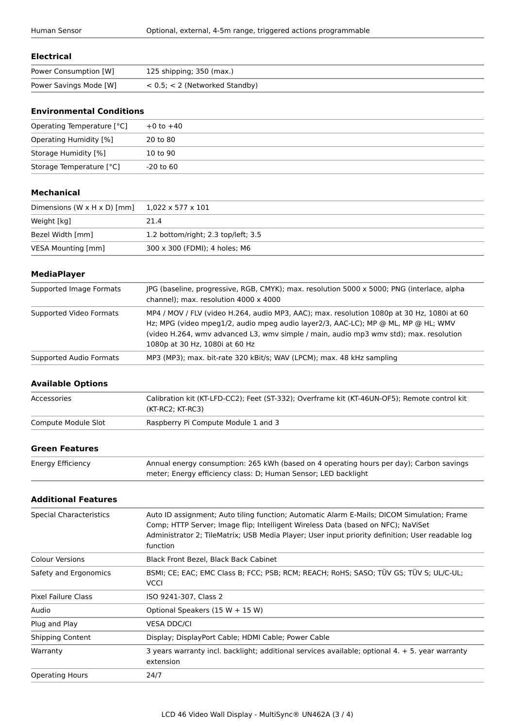#### **Electrical**

| Power Consumption [W]  | 125 shipping; 350 (max.)            |
|------------------------|-------------------------------------|
| Power Savings Mode [W] | $< 0.5$ ; $< 2$ (Networked Standby) |

# **Environmental Conditions**

| Operating Temperature [°C] | $+0$ to $+40$ |
|----------------------------|---------------|
| Operating Humidity [%]     | 20 to 80      |
| Storage Humidity [%]       | 10 to 90      |
| Storage Temperature [°C]   | -20 to 60     |

#### **Mechanical**

| Dimensions (W $\times$ H $\times$ D) [mm] | 1,022 x 577 x 101                   |
|-------------------------------------------|-------------------------------------|
| Weight [kg]                               | 21.4                                |
| Bezel Width [mm]                          | 1.2 bottom/right; 2.3 top/left; 3.5 |
| VESA Mounting [mm]                        | 300 x 300 (FDMI); 4 holes; M6       |

#### **MediaPlayer**

| Supported Image Formats | JPG (baseline, progressive, RGB, CMYK); max. resolution 5000 x 5000; PNG (interlace, alpha<br>channel); max. resolution 4000 x 4000                                                                                                                                                                        |
|-------------------------|------------------------------------------------------------------------------------------------------------------------------------------------------------------------------------------------------------------------------------------------------------------------------------------------------------|
| Supported Video Formats | MP4 / MOV / FLV (video H.264, audio MP3, AAC); max. resolution 1080p at 30 Hz, 1080i at 60<br>Hz; MPG (video mpeg1/2, audio mpeg audio layer2/3, AAC-LC); MP @ ML, MP @ HL; WMV<br>(video H.264, wmy advanced L3, wmy simple / main, audio mp3 wmy std); max. resolution<br>1080p at 30 Hz, 1080i at 60 Hz |
| Supported Audio Formats | MP3 (MP3); max. bit-rate 320 kBit/s; WAV (LPCM); max. 48 kHz sampling                                                                                                                                                                                                                                      |

#### **Available Options**

| Accessories         | Calibration kit (KT-LFD-CC2); Feet (ST-332); Overframe kit (KT-46UN-OF5); Remote control kit<br>$(KT-RC2; KT-RC3)$ |
|---------------------|--------------------------------------------------------------------------------------------------------------------|
| Compute Module Slot | Raspberry Pi Compute Module 1 and 3                                                                                |

# **Green Features**

| Energy Efficiency | Annual energy consumption: 265 kWh (based on 4 operating hours per day); Carbon savings |
|-------------------|-----------------------------------------------------------------------------------------|
|                   | meter; Energy efficiency class: D; Human Sensor; LED backlight                          |

#### **Additional Features**

| <b>Special Characteristics</b> | Auto ID assignment; Auto tiling function; Automatic Alarm E-Mails; DICOM Simulation; Frame<br>Comp; HTTP Server; Image flip; Intelligent Wireless Data (based on NFC); NaViSet<br>Administrator 2; TileMatrix; USB Media Player; User input priority definition; User readable log<br>function |
|--------------------------------|------------------------------------------------------------------------------------------------------------------------------------------------------------------------------------------------------------------------------------------------------------------------------------------------|
| <b>Colour Versions</b>         | Black Front Bezel, Black Back Cabinet                                                                                                                                                                                                                                                          |
| Safety and Ergonomics          | BSMI; CE; EAC; EMC Class B; FCC; PSB; RCM; REACH; RoHS; SASO; TÜV GS; TÜV S; UL/C-UL;<br><b>VCCI</b>                                                                                                                                                                                           |
| <b>Pixel Failure Class</b>     | ISO 9241-307, Class 2                                                                                                                                                                                                                                                                          |
| Audio                          | Optional Speakers (15 W + 15 W)                                                                                                                                                                                                                                                                |
| Plug and Play                  | <b>VESA DDC/CL</b>                                                                                                                                                                                                                                                                             |
| <b>Shipping Content</b>        | Display; DisplayPort Cable; HDMI Cable; Power Cable                                                                                                                                                                                                                                            |
| Warranty                       | 3 years warranty incl. backlight; additional services available; optional 4. + 5. year warranty<br>extension                                                                                                                                                                                   |
| <b>Operating Hours</b>         | 24/7                                                                                                                                                                                                                                                                                           |
|                                |                                                                                                                                                                                                                                                                                                |